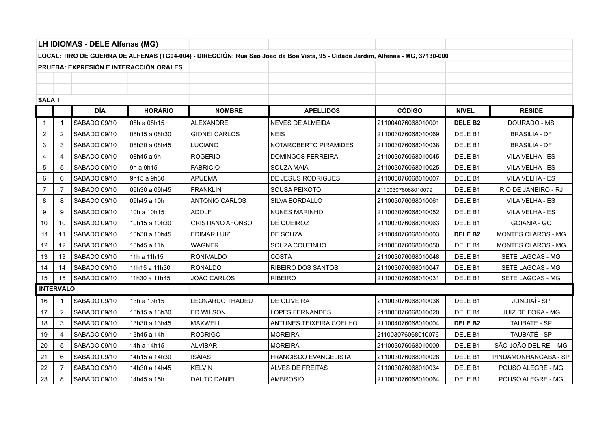| LH IDIOMAS - DELE Alfenas (MG)                                                                                                  |                  |              |                |                         |                          |                    |                    |                           |
|---------------------------------------------------------------------------------------------------------------------------------|------------------|--------------|----------------|-------------------------|--------------------------|--------------------|--------------------|---------------------------|
| LOCAL: TIRO DE GUERRA DE ALFENAS (TG04-004) - DIRECCIÓN: Rua São João da Boa Vista, 95 - Cidade Jardim, Alfenas - MG, 37130-000 |                  |              |                |                         |                          |                    |                    |                           |
| PRUEBA: EXPRESIÓN E INTERACCIÓN ORALES                                                                                          |                  |              |                |                         |                          |                    |                    |                           |
|                                                                                                                                 |                  |              |                |                         |                          |                    |                    |                           |
|                                                                                                                                 |                  |              |                |                         |                          |                    |                    |                           |
| SALA <sub>1</sub>                                                                                                               |                  |              |                |                         |                          |                    |                    |                           |
|                                                                                                                                 |                  | <b>DÍA</b>   | <b>HORÁRIO</b> | <b>NOMBRE</b>           | <b>APELLIDOS</b>         | <b>CÓDIGO</b>      | <b>NIVEL</b>       | <b>RESIDE</b>             |
| $\mathbf{1}$                                                                                                                    |                  | SABADO 09/10 | 08h a 08h15    | ALEXANDRE               | <b>NEVES DE ALMEIDA</b>  | 211004076068010001 | <b>DELE B2</b>     | DOURADO - MS              |
| 2                                                                                                                               | 2                | SABADO 09/10 | 08h15 a 08h30  | GIONEI CARLOS           | <b>NEIS</b>              | 211003076068010069 | DELE <sub>B1</sub> | <b>BRASÍLIA - DF</b>      |
| 3                                                                                                                               | 3                | SABADO 09/10 | 08h30 a 08h45  | LUCIANO                 | NOTAROBERTO PIRAMIDES    | 211003076068010038 | DELE B1            | <b>BRASÍLIA - DF</b>      |
| $\overline{4}$                                                                                                                  |                  | SABADO 09/10 | 08h45 a 9h     | ROGERIO                 | <b>DOMINGOS FERREIRA</b> | 211003076068010045 | DELE <sub>B1</sub> | VILA VELHA - ES           |
| 5                                                                                                                               | 5                | SABADO 09/10 | 9h a 9h15      | <b>FABRICIO</b>         | SOUZA MAIA               | 211003076068010025 | DELE B1            | VILA VELHA - ES           |
| 6                                                                                                                               |                  | SABADO 09/10 | 9h15 a 9h30    | <b>APUEMA</b>           | DE JESUS RODRIGUES       | 211003076068010007 | DELE <sub>B1</sub> | VILA VELHA - ES           |
| $\overline{7}$                                                                                                                  | 7                | SABADO 09/10 | 09h30 a 09h45  | <b>FRANKLIN</b>         | SOUSA PEIXOTO            | 211003076068010079 | DELE B1            | RIO DE JANEIRO - RJ       |
| 8                                                                                                                               | 8                | SABADO 09/10 | 09h45 a 10h    | <b>ANTONIO CARLOS</b>   | SILVA BORDALLO           | 211003076068010061 | DELE B1            | VILA VELHA - ES           |
| 9                                                                                                                               | 9                | SABADO 09/10 | 10h a 10h15    | <b>ADOLF</b>            | <b>NUNES MARINHO</b>     | 211003076068010052 | DELE <sub>B1</sub> | VILA VELHA - ES           |
| 10                                                                                                                              | 10               | SABADO 09/10 | 10h15 a 10h30  | <b>CRISTIANO AFONSO</b> | DE QUEIROZ               | 211003076068010063 | DELE B1            | GOIANIA - GO              |
| 11                                                                                                                              | 11               | SABADO 09/10 | 10h30 a 10h45  | EDIMAR LUIZ             | DE SOUZA                 | 211004076068010003 | DELE <sub>B2</sub> | MONTES CLAROS - MG        |
| 12                                                                                                                              | 12               | SABADO 09/10 | 10h45 a 11h    | <b>WAGNER</b>           | SOUZA COUTINHO           | 211003076068010050 | DELE <sub>B1</sub> | <b>MONTES CLAROS - MG</b> |
| 13                                                                                                                              | 13               | SABADO 09/10 | 11h a 11h15    | RONIVALDO               | COSTA                    | 211003076068010048 | DELE <sub>B1</sub> | SETE LAGOAS - MG          |
| 14                                                                                                                              | 14               | SABADO 09/10 | 11h15 a 11h30  | <b>RONALDO</b>          | RIBEIRO DOS SANTOS       | 211003076068010047 | DELE <sub>B1</sub> | SETE LAGOAS - MG          |
| 15                                                                                                                              | 15               | SABADO 09/10 | 11h30 a 11h45  | <b>JOÃO CARLOS</b>      | <b>RIBEIRO</b>           | 211003076068010031 | DELE B1            | SETE LAGOAS - MG          |
|                                                                                                                                 | <b>INTERVALO</b> |              |                |                         |                          |                    |                    |                           |
| 16                                                                                                                              |                  | SABADO 09/10 | 13h a 13h15    | <b>LEONARDO THADEU</b>  | DE OLIVEIRA              | 211003076068010036 | DELE B1            | JUNDIAÍ - SP              |
| 17                                                                                                                              | $\overline{2}$   | SABADO 09/10 | 13h15 a 13h30  | ED WILSON               | <b>LOPES FERNANDES</b>   | 211003076068010020 | DELE B1            | JUIZ DE FORA - MG         |
| 18                                                                                                                              | 3                | SABADO 09/10 | 13h30 a 13h45  | <b>MAXWELL</b>          | ANTUNES TEIXEIRA COELHO  | 211004076068010004 | <b>DELE B2</b>     | TAUBATÉ - SP              |
| 19                                                                                                                              | 4                | SABADO 09/10 | 13h45 a 14h    | RODRIGO                 | <b>MOREIRA</b>           | 211003076068010076 | DELE B1            | TAUBATÉ - SP              |
| 20                                                                                                                              | 5                | SABADO 09/10 | 14h a 14h15    | ALVIBAR                 | <b>MOREIRA</b>           | 211003076068010009 | DELE <sub>B1</sub> | SÃO JOÃO DEL REI - MG     |
| 21                                                                                                                              | 6                | SABADO 09/10 | 14h15 a 14h30  | <b>ISAIAS</b>           | FRANCISCO EVANGELISTA    | 211003076068010028 | DELE <sub>B1</sub> | PINDAMONHANGABA - SP      |
| 22                                                                                                                              |                  | SABADO 09/10 | 14h30 a 14h45  | <b>KELVIN</b>           | ALVES DE FREITAS         | 211003076068010034 | DELE <sub>B1</sub> | POUSO ALEGRE - MG         |
| 23                                                                                                                              | 8                | SABADO 09/10 | 14h45 a 15h    | DAUTO DANIEL            | <b>AMBROSIO</b>          | 211003076068010064 | DELE <sub>B1</sub> | POUSO ALEGRE - MG         |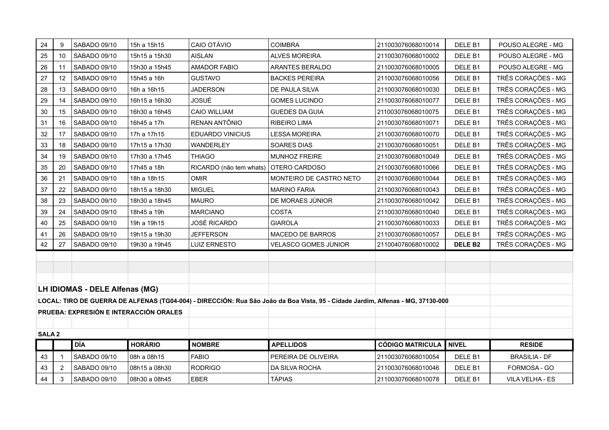| 24                                                                                                                              | 9              | SABADO 09/10                   | 15h a 15h15    | CAIO OTÁVIO             | <b>COIMBRA</b>          | 211003076068010014      | DELE B1            | POUSO ALEGRE - MG    |
|---------------------------------------------------------------------------------------------------------------------------------|----------------|--------------------------------|----------------|-------------------------|-------------------------|-------------------------|--------------------|----------------------|
| 25                                                                                                                              | 10             | SABADO 09/10                   | 15h15 a 15h30  | <b>AISLAN</b>           | <b>ALVES MOREIRA</b>    | 211003076068010002      | DELE <sub>B1</sub> | POUSO ALEGRE - MG    |
| 26                                                                                                                              | 11             | SABADO 09/10                   | 15h30 a 15h45  | <b>AMADOR FABIO</b>     | ARANTES BERALDO         | 211003076068010005      | DELE B1            | POUSO ALEGRE - MG    |
| 27                                                                                                                              | 12             | SABADO 09/10                   | 15h45 a 16h    | <b>GUSTAVO</b>          | <b>BACKES PEREIRA</b>   | 211003076068010056      | DELE B1            | TRÊS CORAÇÕES - MG   |
| 28                                                                                                                              | 13             | SABADO 09/10                   | 16h a 16h15    | <b>JADERSON</b>         | DE PAULA SILVA          | 211003076068010030      | DELE <sub>B1</sub> | TRÊS CORAÇÕES - MG   |
| 29                                                                                                                              | 14             | SABADO 09/10                   | 16h15 a 16h30  | <b>JOSUÉ</b>            | <b>GOMES LUCINDO</b>    | 211003076068010077      | DELE B1            | TRÊS CORAÇÕES - MG   |
| 30                                                                                                                              | 15             | SABADO 09/10                   | 16h30 a 16h45  | <b>CAIO WILLIAM</b>     | <b>GUEDES DA GUIA</b>   | 211003076068010075      | DELE <sub>B1</sub> | TRÊS CORAÇÕES - MG   |
| 31                                                                                                                              | 16             | SABADO 09/10                   | 16h45 a 17h    | RENAN ANTÔNIO           | RIBEIRO LIMA            | 211003076068010071      | DELE <sub>B1</sub> | TRÊS CORAÇÕES - MG   |
| 32                                                                                                                              | 17             | SABADO 09/10                   | 17h a 17h15    | <b>EDUARDO VINICIUS</b> | <b>LESSA MOREIRA</b>    | 211003076068010070      | DELE B1            | TRÊS CORAÇÕES - MG   |
| 33                                                                                                                              | 18             | SABADO 09/10                   | 17h15 a 17h30  | WANDERLEY               | SOARES DIAS             | 211003076068010051      | DELE <sub>B1</sub> | TRÊS CORAÇÕES - MG   |
| 34                                                                                                                              | 19             | SABADO 09/10                   | 17h30 a 17h45  | <b>THIAGO</b>           | MUNHOZ FREIRE           | 211003076068010049      | DELE <sub>B1</sub> | TRÊS CORAÇÕES - MG   |
| 35                                                                                                                              | 20             | SABADO 09/10                   | 17h45 a 18h    | RICARDO (não tem whats) | OTERO CARDOSO           | 211003076068010066      | DELE <sub>B1</sub> | TRÊS CORAÇÕES - MG   |
| 36                                                                                                                              | 21             | SABADO 09/10                   | 18h a 18h15    | <b>OMIR</b>             | MONTEIRO DE CASTRO NETO | 211003076068010044      | DELE <sub>B1</sub> | TRÊS CORAÇÕES - MG   |
| 37                                                                                                                              | 22             | SABADO 09/10                   | 18h15 a 18h30  | <b>MIGUEL</b>           | <b>MARINO FARIA</b>     | 211003076068010043      | DELE <sub>B1</sub> | TRÊS CORAÇÕES - MG   |
| 38                                                                                                                              | 23             | SABADO 09/10                   | 18h30 a 18h45  | <b>MAURO</b>            | DE MORAES JÚNIOR        | 211003076068010042      | DELE <sub>B1</sub> | TRÊS CORAÇÕES - MG   |
| 39                                                                                                                              | 24             | SABADO 09/10                   | 18h45 a 19h    | <b>MARCIANO</b>         | <b>COSTA</b>            | 211003076068010040      | DELE B1            | TRÊS CORAÇÕES - MG   |
| 40                                                                                                                              | 25             | SABADO 09/10                   | 19h a 19h15    | <b>JOSÉ RICARDO</b>     | <b>GIAROLA</b>          | 211003076068010033      | DELE B1            | TRÊS CORAÇÕES - MG   |
| 41                                                                                                                              | 26             | SABADO 09/10                   | 19h15 a 19h30  | <b>JEFFERSON</b>        | MACEDO DE BARROS        | 211003076068010057      | DELE B1            | TRÊS CORAÇÕES - MG   |
| 42                                                                                                                              | 27             | SABADO 09/10                   | 19h30 a 19h45  | <b>LUIZ ERNESTO</b>     | VELASCO GOMES JUNIOR    | 211004076068010002      | <b>DELE B2</b>     | TRÊS CORAÇÕES - MG   |
|                                                                                                                                 |                |                                |                |                         |                         |                         |                    |                      |
|                                                                                                                                 |                |                                |                |                         |                         |                         |                    |                      |
|                                                                                                                                 |                |                                |                |                         |                         |                         |                    |                      |
|                                                                                                                                 |                | LH IDIOMAS - DELE Alfenas (MG) |                |                         |                         |                         |                    |                      |
| LOCAL: TIRO DE GUERRA DE ALFENAS (TG04-004) - DIRECCIÓN: Rua São João da Boa Vista, 95 - Cidade Jardim, Alfenas - MG, 37130-000 |                |                                |                |                         |                         |                         |                    |                      |
| PRUEBA: EXPRESIÓN E INTERACCIÓN ORALES                                                                                          |                |                                |                |                         |                         |                         |                    |                      |
|                                                                                                                                 |                |                                |                |                         |                         |                         |                    |                      |
| SALA <sub>2</sub>                                                                                                               |                |                                |                |                         |                         |                         |                    |                      |
|                                                                                                                                 |                | DÍA                            | <b>HORÁRIO</b> | <b>NOMBRE</b>           | <b>APELLIDOS</b>        | <b>CÓDIGO MATRICULA</b> | NIVEL              | <b>RESIDE</b>        |
| 43                                                                                                                              |                | SABADO 09/10                   | 08h a 08h15    | <b>FABIO</b>            | PEREIRA DE OLIVEIRA     | 211003076068010054      | DELE B1            | <b>BRASILIA - DF</b> |
| 43                                                                                                                              | $\overline{2}$ | SABADO 09/10                   | 08h15 a 08h30  | <b>RODRIGO</b>          | DA SILVA ROCHA          | 211003076068010046      | DELE <sub>B1</sub> | FORMOSA - GO         |
| 44                                                                                                                              | 3              | SABADO 09/10                   | 08h30 a 08h45  | <b>EBER</b>             | <b>TÁPIAS</b>           | 211003076068010078      | DELE <sub>B1</sub> | VILA VELHA - ES      |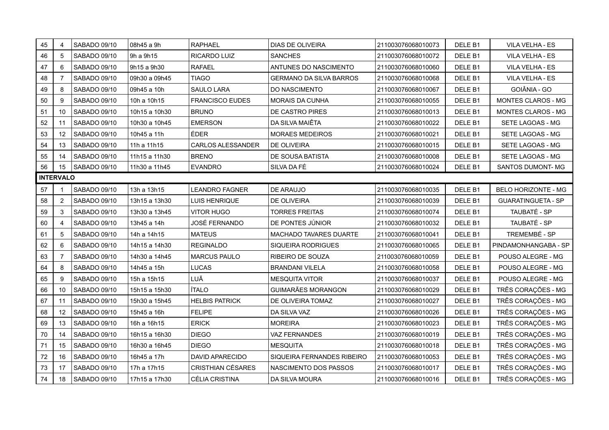| 45               | 4                 | SABADO 09/10 | 08h45 a 9h    | <b>RAPHAEL</b>           | DIAS DE OLIVEIRA               | 211003076068010073 | DELE B1            | VILA VELHA - ES            |
|------------------|-------------------|--------------|---------------|--------------------------|--------------------------------|--------------------|--------------------|----------------------------|
| 46               | 5                 | SABADO 09/10 | 9h a 9h15     | RICARDO LUIZ             | <b>SANCHES</b>                 | 211003076068010072 | DELE <sub>B1</sub> | VILA VELHA - ES            |
| 47               | 6                 | SABADO 09/10 | 9h15 a 9h30   | <b>RAFAEL</b>            | ANTUNES DO NASCIMENTO          | 211003076068010060 | DELE <sub>B1</sub> | VILA VELHA - ES            |
| 48               | 7                 | SABADO 09/10 | 09h30 a 09h45 | <b>TIAGO</b>             | <b>GERMANO DA SILVA BARROS</b> | 211003076068010068 | DELE <sub>B1</sub> | VILA VELHA - ES            |
| 49               | 8                 | SABADO 09/10 | 09h45 a 10h   | SAULO LARA               | DO NASCIMENTO                  | 211003076068010067 | DELE <sub>B1</sub> | GOIÂNIA - GO               |
| 50               | 9                 | SABADO 09/10 | 10h a 10h15   | <b>FRANCISCO EUDES</b>   | MORAIS DA CUNHA                | 211003076068010055 | DELE <sub>B1</sub> | MONTES CLAROS - MG         |
| 51               | 10                | SABADO 09/10 | 10h15 a 10h30 | <b>BRUNO</b>             | DE CASTRO PIRES                | 211003076068010013 | DELE B1            | MONTES CLAROS - MG         |
| 52               | 11                | SABADO 09/10 | 10h30 a 10h45 | <b>EMERSON</b>           | DA SILVA MAIÊTA                | 211003076068010022 | DELE <sub>B1</sub> | SETE LAGOAS - MG           |
| 53               | $12 \overline{ }$ | SABADO 09/10 | 10h45 a 11h   | ÉDER                     | <b>MORAES MEDEIROS</b>         | 211003076068010021 | DELE B1            | SETE LAGOAS - MG           |
| 54               | 13                | SABADO 09/10 | 11h a 11h15   | <b>CARLOS ALESSANDER</b> | DE OLIVEIRA                    | 211003076068010015 | DELE B1            | SETE LAGOAS - MG           |
| 55               | 14                | SABADO 09/10 | 11h15 a 11h30 | <b>BRENO</b>             | DE SOUSA BATISTA               | 211003076068010008 | DELE <sub>B1</sub> | SETE LAGOAS - MG           |
| 56               | 15                | SABADO 09/10 | 11h30 a 11h45 | <b>EVANDRO</b>           | SILVA DA FÉ                    | 211003076068010024 | DELE <sub>B1</sub> | SANTOS DUMONT- MG          |
| <b>INTERVALO</b> |                   |              |               |                          |                                |                    |                    |                            |
| 57               |                   | SABADO 09/10 | 13h a 13h15   | <b>LEANDRO FAGNER</b>    | DE ARAUJO                      | 211003076068010035 | DELE <sub>B1</sub> | <b>BELO HORIZONTE - MG</b> |
| 58               | $\overline{2}$    | SABADO 09/10 | 13h15 a 13h30 | <b>LUIS HENRIQUE</b>     | <b>DE OLIVEIRA</b>             | 211003076068010039 | DELE B1            | <b>GUARATINGUETA - SP</b>  |
| 59               | 3                 | SABADO 09/10 | 13h30 a 13h45 | <b>VITOR HUGO</b>        | <b>TORRES FREITAS</b>          | 211003076068010074 | DELE B1            | TAUBATÉ - SP               |
| 60               | 4                 | SABADO 09/10 | 13h45 a 14h   | JOSÉ FERNANDO            | DE PONTES JÚNIOR               | 211003076068010032 | DELE <sub>B1</sub> | TAUBATÉ - SP               |
| 61               | 5                 | SABADO 09/10 | 14h a 14h15   | <b>MATEUS</b>            | <b>MACHADO TAVARES DUARTE</b>  | 211003076068010041 | DELE B1            | TREMEMBÉ - SP              |
| 62               | 6                 | SABADO 09/10 | 14h15 a 14h30 | <b>REGINALDO</b>         | SIQUEIRA RODRIGUES             | 211003076068010065 | DELE <sub>B1</sub> | PINDAMONHANGABA - SP       |
| 63               | 7                 | SABADO 09/10 | 14h30 a 14h45 | <b>MARCUS PAULO</b>      | RIBEIRO DE SOUZA               | 211003076068010059 | DELE <sub>B1</sub> | POUSO ALEGRE - MG          |
| 64               | 8                 | SABADO 09/10 | 14h45 a 15h   | <b>LUCAS</b>             | <b>BRANDANI VILELA</b>         | 211003076068010058 | DELE <sub>B1</sub> | POUSO ALEGRE - MG          |
| 65               | 9                 | SABADO 09/10 | 15h a 15h15   | LUÃ                      | <b>MESQUITA VITOR</b>          | 211003076068010037 | DELE B1            | POUSO ALEGRE - MG          |
| 66               | 10                | SABADO 09/10 | 15h15 a 15h30 | <b>ÍTALO</b>             | <b>GUIMARÃES MORANGON</b>      | 211003076068010029 | DELE <sub>B1</sub> | TRÊS CORAÇÕES - MG         |
| 67               | 11                | SABADO 09/10 | 15h30 a 15h45 | <b>HELBIS PATRICK</b>    | DE OLIVEIRA TOMAZ              | 211003076068010027 | DELE B1            | TRÊS CORAÇÕES - MG         |
| 68               | 12                | SABADO 09/10 | 15h45 a 16h   | <b>FELIPE</b>            | DA SILVA VAZ                   | 211003076068010026 | DELE <sub>B1</sub> | TRÊS CORAÇÕES - MG         |
| 69               | 13                | SABADO 09/10 | 16h a 16h15   | <b>ERICK</b>             | <b>MOREIRA</b>                 | 211003076068010023 | DELE B1            | TRÊS CORAÇÕES - MG         |
| 70               | 14                | SABADO 09/10 | 16h15 a 16h30 | <b>DIEGO</b>             | VAZ FERNANDES                  | 211003076068010019 | DELE <sub>B1</sub> | TRÊS CORAÇÕES - MG         |
| 71               | 15                | SABADO 09/10 | 16h30 a 16h45 | <b>DIEGO</b>             | <b>MESQUITA</b>                | 211003076068010018 | DELE B1            | TRÊS CORAÇÕES - MG         |
| 72               | 16                | SABADO 09/10 | 16h45 a 17h   | <b>DAVID APARECIDO</b>   | SIQUEIRA FERNANDES RIBEIRO     | 211003076068010053 | DELE <sub>B1</sub> | TRÊS CORAÇÕES - MG         |
| $73\,$           | 17                | SABADO 09/10 | 17h a 17h15   | <b>CRISTHIAN CÉSARES</b> | NASCIMENTO DOS PASSOS          | 211003076068010017 | DELE B1            | TRÊS CORAÇÕES - MG         |
| 74               | 18                | SABADO 09/10 | 17h15 a 17h30 | CÉLIA CRISTINA           | DA SILVA MOURA                 | 211003076068010016 | DELE <sub>B1</sub> | TRÊS CORAÇÕES - MG         |